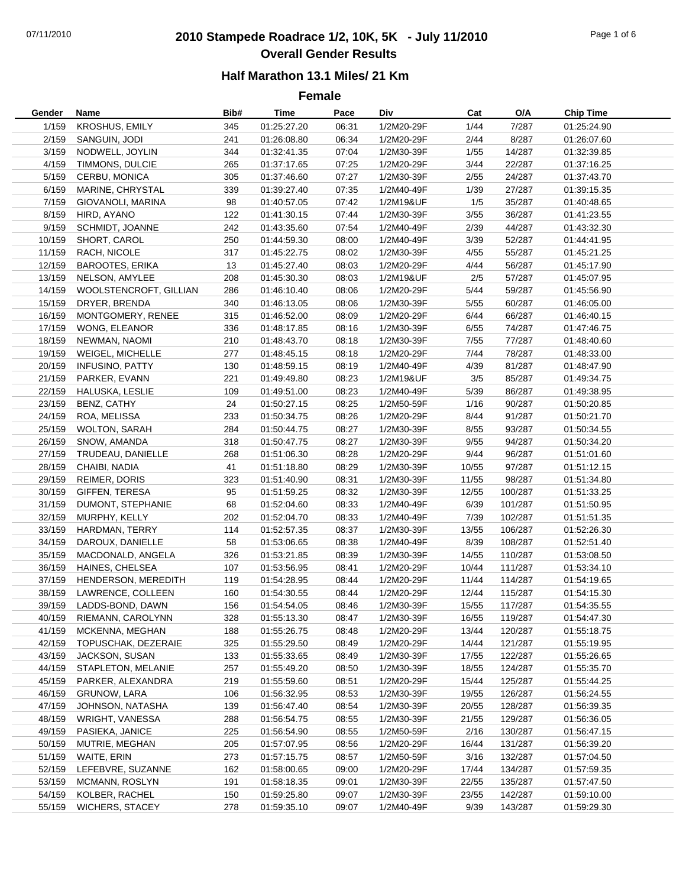## 07/11/2010 **2010 Stampede Roadrace 1/2, 10K, 5K - July 11/2010** Page 1 of 6 **Overall Gender Results**

#### **Half Marathon 13.1 Miles/ 21 Km**

**Female**

| Gender           | Name                        | Bib#      | <b>Time</b>                | Pace           | Div        | Cat          | O/A              | <b>Chip Time</b>           |
|------------------|-----------------------------|-----------|----------------------------|----------------|------------|--------------|------------------|----------------------------|
| 1/159            | <b>KROSHUS, EMILY</b>       | 345       | 01:25:27.20                | 06:31          | 1/2M20-29F | 1/44         | 7/287            | 01:25:24.90                |
| 2/159            | SANGUIN, JODI               | 241       | 01:26:08.80                | 06:34          | 1/2M20-29F | 2/44         | 8/287            | 01:26:07.60                |
| 3/159            | NODWELL, JOYLIN             | 344       | 01:32:41.35                | 07:04          | 1/2M30-39F | 1/55         | 14/287           | 01:32:39.85                |
| 4/159            | TIMMONS, DULCIE             | 265       | 01:37:17.65                | 07:25          | 1/2M20-29F | 3/44         | 22/287           | 01:37:16.25                |
| 5/159            | CERBU, MONICA               | 305       | 01:37:46.60                | 07:27          | 1/2M30-39F | 2/55         | 24/287           | 01:37:43.70                |
| 6/159            | MARINE, CHRYSTAL            | 339       | 01:39:27.40                | 07:35          | 1/2M40-49F | 1/39         | 27/287           | 01:39:15.35                |
| 7/159            | GIOVANOLI, MARINA           | 98        | 01:40:57.05                | 07:42          | 1/2M19&UF  | 1/5          | 35/287           | 01:40:48.65                |
| 8/159            | HIRD, AYANO                 | 122       | 01:41:30.15                | 07:44          | 1/2M30-39F | 3/55         | 36/287           | 01:41:23.55                |
| 9/159            | SCHMIDT, JOANNE             | 242       | 01:43:35.60                | 07:54          | 1/2M40-49F | 2/39         | 44/287           | 01:43:32.30                |
| 10/159           | SHORT, CAROL                | 250       | 01:44:59.30                | 08:00          | 1/2M40-49F | 3/39         | 52/287           | 01:44:41.95                |
| 11/159           | RACH, NICOLE                | 317       | 01:45:22.75                | 08:02          | 1/2M30-39F | 4/55         | 55/287           | 01:45:21.25                |
| 12/159           | <b>BAROOTES, ERIKA</b>      | 13        | 01:45:27.40                | 08:03          | 1/2M20-29F | 4/44         | 56/287           | 01:45:17.90                |
| 13/159           | NELSON, AMYLEE              | 208       | 01:45:30.30                | 08:03          | 1/2M19&UF  | 2/5          | 57/287           | 01:45:07.95                |
| 14/159           | WOOLSTENCROFT, GILLIAN      | 286       | 01:46:10.40                | 08:06          | 1/2M20-29F | 5/44         | 59/287           | 01:45:56.90                |
| 15/159           | DRYER, BRENDA               | 340       | 01:46:13.05                | 08:06          | 1/2M30-39F | 5/55         | 60/287           | 01:46:05.00                |
| 16/159           | MONTGOMERY, RENEE           | 315       | 01:46:52.00                | 08:09          | 1/2M20-29F | 6/44         | 66/287           | 01:46:40.15                |
| 17/159           | <b>WONG, ELEANOR</b>        | 336       | 01:48:17.85                | 08:16          | 1/2M30-39F | 6/55         | 74/287           | 01:47:46.75                |
| 18/159           | NEWMAN, NAOMI               | 210       | 01:48:43.70                | 08:18          | 1/2M30-39F | 7/55         | 77/287           | 01:48:40.60                |
| 19/159           | WEIGEL, MICHELLE            | 277       | 01:48:45.15                | 08:18          | 1/2M20-29F | 7/44         | 78/287           | 01:48:33.00                |
| 20/159           | <b>INFUSINO, PATTY</b>      | 130       | 01:48:59.15                | 08:19          | 1/2M40-49F | 4/39         | 81/287           | 01:48:47.90                |
| 21/159           | PARKER, EVANN               | 221       | 01:49:49.80                | 08:23          | 1/2M19&UF  | 3/5          | 85/287           | 01:49:34.75                |
| 22/159           | HALUSKA, LESLIE             | 109       |                            | 08:23          | 1/2M40-49F | 5/39         | 86/287           |                            |
|                  |                             |           | 01:49:51.00<br>01:50:27.15 |                | 1/2M50-59F |              |                  | 01:49:38.95                |
| 23/159<br>24/159 | BENZ, CATHY<br>ROA, MELISSA | 24<br>233 | 01:50:34.75                | 08:25<br>08:26 | 1/2M20-29F | 1/16<br>8/44 | 90/287<br>91/287 | 01:50:20.85<br>01:50:21.70 |
| 25/159           | <b>WOLTON, SARAH</b>        | 284       | 01:50:44.75                | 08:27          | 1/2M30-39F | 8/55         | 93/287           | 01:50:34.55                |
| 26/159           | SNOW, AMANDA                | 318       | 01:50:47.75                | 08:27          | 1/2M30-39F | 9/55         | 94/287           | 01:50:34.20                |
| 27/159           | TRUDEAU, DANIELLE           | 268       | 01:51:06.30                | 08:28          | 1/2M20-29F | 9/44         | 96/287           | 01:51:01.60                |
| 28/159           | CHAIBI, NADIA               | 41        | 01:51:18.80                | 08:29          | 1/2M30-39F | 10/55        | 97/287           | 01:51:12.15                |
| 29/159           | REIMER, DORIS               | 323       | 01:51:40.90                | 08:31          | 1/2M30-39F | 11/55        | 98/287           | 01:51:34.80                |
| 30/159           | GIFFEN, TERESA              | 95        |                            | 08:32          | 1/2M30-39F | 12/55        | 100/287          |                            |
|                  |                             | 68        | 01:51:59.25<br>01:52:04.60 | 08:33          | 1/2M40-49F | 6/39         |                  | 01:51:33.25<br>01:51:50.95 |
| 31/159           | DUMONT, STEPHANIE           |           |                            |                |            | 7/39         | 101/287          |                            |
| 32/159           | MURPHY, KELLY               | 202       | 01:52:04.70                | 08:33          | 1/2M40-49F |              | 102/287          | 01:51:51.35                |
| 33/159           | HARDMAN, TERRY              | 114       | 01:52:57.35                | 08:37          | 1/2M30-39F | 13/55        | 106/287          | 01:52:26.30                |
| 34/159           | DAROUX, DANIELLE            | 58        | 01:53:06.65                | 08:38          | 1/2M40-49F | 8/39         | 108/287          | 01:52:51.40                |
| 35/159           | MACDONALD, ANGELA           | 326       | 01:53:21.85                | 08:39          | 1/2M30-39F | 14/55        | 110/287          | 01:53:08.50                |
| 36/159           | HAINES, CHELSEA             | 107       | 01:53:56.95                | 08:41          | 1/2M20-29F | 10/44        | 111/287          | 01:53:34.10                |
| 37/159           | HENDERSON, MEREDITH         | 119       | 01:54:28.95                | 08:44          | 1/2M20-29F | 11/44        | 114/287          | 01:54:19.65                |
| 38/159           | LAWRENCE, COLLEEN           | 160       | 01:54:30.55                | 08:44          | 1/2M20-29F | 12/44        | 115/287          | 01:54:15.30                |
| 39/159           | LADDS-BOND, DAWN            | 156       | 01:54:54.05                | 08:46          | 1/2M30-39F | 15/55        | 117/287          | 01:54:35.55                |
| 40/159           | RIEMANN, CAROLYNN           | 328       | 01:55:13.30                | 08:47          | 1/2M30-39F | 16/55        | 119/287          | 01:54:47.30                |
| 41/159           | MCKENNA, MEGHAN             | 188       | 01:55:26.75                | 08:48          | 1/2M20-29F | 13/44        | 120/287          | 01:55:18.75                |
| 42/159           | TOPUSCHAK, DEZERAIE         | 325       | 01:55:29.50                | 08:49          | 1/2M20-29F | 14/44        | 121/287          | 01:55:19.95                |
| 43/159           | JACKSON, SUSAN              | 133       | 01:55:33.65                | 08:49          | 1/2M30-39F | 17/55        | 122/287          | 01:55:26.65                |
| 44/159           | STAPLETON, MELANIE          | 257       | 01:55:49.20                | 08:50          | 1/2M30-39F | 18/55        | 124/287          | 01:55:35.70                |
| 45/159           | PARKER, ALEXANDRA           | 219       | 01:55:59.60                | 08:51          | 1/2M20-29F | 15/44        | 125/287          | 01:55:44.25                |
| 46/159           | GRUNOW, LARA                | 106       | 01:56:32.95                | 08:53          | 1/2M30-39F | 19/55        | 126/287          | 01:56:24.55                |
| 47/159           | JOHNSON, NATASHA            | 139       | 01:56:47.40                | 08:54          | 1/2M30-39F | 20/55        | 128/287          | 01:56:39.35                |
| 48/159           | WRIGHT, VANESSA             | 288       | 01:56:54.75                | 08:55          | 1/2M30-39F | 21/55        | 129/287          | 01:56:36.05                |
| 49/159           | PASIEKA, JANICE             | 225       | 01:56:54.90                | 08:55          | 1/2M50-59F | 2/16         | 130/287          | 01:56:47.15                |
| 50/159           | MUTRIE, MEGHAN              | 205       | 01:57:07.95                | 08:56          | 1/2M20-29F | 16/44        | 131/287          | 01:56:39.20                |
| 51/159           | WAITE, ERIN                 | 273       | 01:57:15.75                | 08:57          | 1/2M50-59F | 3/16         | 132/287          | 01:57:04.50                |
| 52/159           | LEFEBVRE, SUZANNE           | 162       | 01:58:00.65                | 09:00          | 1/2M20-29F | 17/44        | 134/287          | 01:57:59.35                |
| 53/159           | MCMANN, ROSLYN              | 191       | 01:58:18.35                | 09:01          | 1/2M30-39F | 22/55        | 135/287          | 01:57:47.50                |
| 54/159           | KOLBER, RACHEL              | 150       | 01:59:25.80                | 09:07          | 1/2M30-39F | 23/55        | 142/287          | 01:59:10.00                |
| 55/159           | <b>WICHERS, STACEY</b>      | 278       | 01:59:35.10                | 09:07          | 1/2M40-49F | 9/39         | 143/287          | 01:59:29.30                |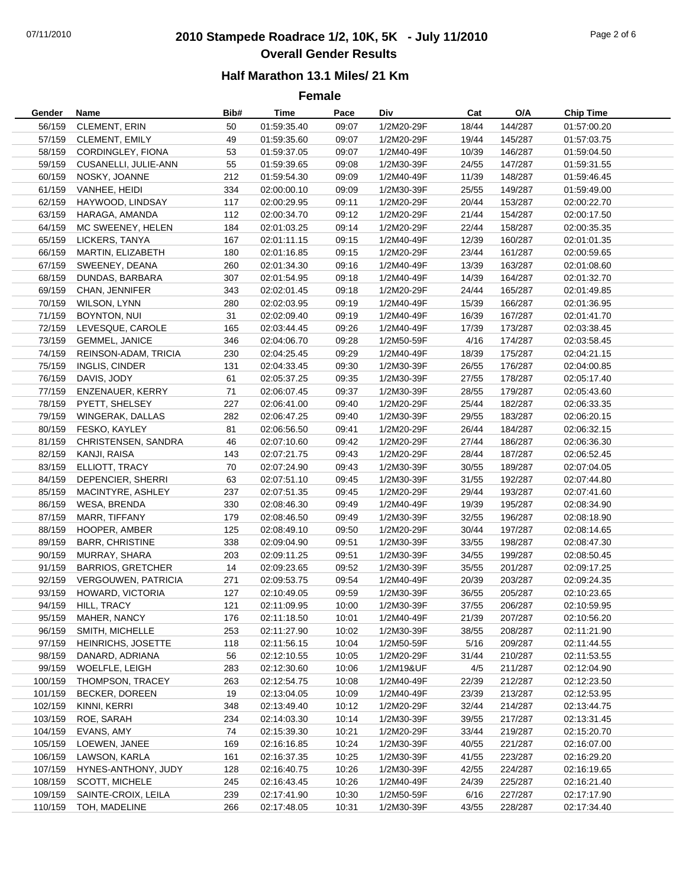## 07/11/2010 **2010 Stampede Roadrace 1/2, 10K, 5K - July 11/2010** Page 2 of 6 **Overall Gender Results**

**Female**

| Gender  | Name                       | Bib# | Time        | Pace  | Div        | Cat   | O/A     | <b>Chip Time</b> |
|---------|----------------------------|------|-------------|-------|------------|-------|---------|------------------|
| 56/159  | <b>CLEMENT, ERIN</b>       | 50   | 01:59:35.40 | 09:07 | 1/2M20-29F | 18/44 | 144/287 | 01:57:00.20      |
| 57/159  | <b>CLEMENT, EMILY</b>      | 49   | 01:59:35.60 | 09:07 | 1/2M20-29F | 19/44 | 145/287 | 01:57:03.75      |
| 58/159  | CORDINGLEY, FIONA          | 53   | 01:59:37.05 | 09:07 | 1/2M40-49F | 10/39 | 146/287 | 01:59:04.50      |
| 59/159  | CUSANELLI, JULIE-ANN       | 55   | 01:59:39.65 | 09:08 | 1/2M30-39F | 24/55 | 147/287 | 01:59:31.55      |
| 60/159  | NOSKY, JOANNE              | 212  | 01:59:54.30 | 09:09 | 1/2M40-49F | 11/39 | 148/287 | 01:59:46.45      |
| 61/159  | VANHEE, HEIDI              | 334  | 02:00:00.10 | 09:09 | 1/2M30-39F | 25/55 | 149/287 | 01:59:49.00      |
| 62/159  | HAYWOOD, LINDSAY           | 117  | 02:00:29.95 | 09:11 | 1/2M20-29F | 20/44 | 153/287 | 02:00:22.70      |
| 63/159  | HARAGA, AMANDA             | 112  | 02:00:34.70 | 09:12 | 1/2M20-29F | 21/44 | 154/287 | 02:00:17.50      |
| 64/159  | MC SWEENEY, HELEN          | 184  | 02:01:03.25 | 09:14 | 1/2M20-29F | 22/44 | 158/287 | 02:00:35.35      |
| 65/159  | LICKERS, TANYA             | 167  | 02:01:11.15 | 09:15 | 1/2M40-49F | 12/39 | 160/287 | 02:01:01.35      |
| 66/159  | MARTIN, ELIZABETH          | 180  | 02:01:16.85 | 09:15 | 1/2M20-29F | 23/44 | 161/287 | 02:00:59.65      |
| 67/159  | SWEENEY, DEANA             | 260  | 02:01:34.30 | 09:16 | 1/2M40-49F | 13/39 | 163/287 | 02:01:08.60      |
| 68/159  | DUNDAS, BARBARA            | 307  | 02:01:54.95 | 09:18 | 1/2M40-49F | 14/39 | 164/287 | 02:01:32.70      |
| 69/159  | CHAN, JENNIFER             | 343  | 02:02:01.45 | 09:18 | 1/2M20-29F | 24/44 | 165/287 | 02:01:49.85      |
| 70/159  | WILSON, LYNN               | 280  | 02:02:03.95 | 09:19 | 1/2M40-49F | 15/39 | 166/287 | 02:01:36.95      |
| 71/159  | BOYNTON, NUI               | 31   | 02:02:09.40 | 09:19 | 1/2M40-49F | 16/39 | 167/287 | 02:01:41.70      |
| 72/159  | LEVESQUE, CAROLE           | 165  | 02:03:44.45 | 09:26 | 1/2M40-49F | 17/39 | 173/287 | 02:03:38.45      |
| 73/159  | GEMMEL, JANICE             | 346  | 02:04:06.70 | 09:28 | 1/2M50-59F | 4/16  | 174/287 | 02:03:58.45      |
| 74/159  | REINSON-ADAM, TRICIA       | 230  | 02:04:25.45 | 09:29 | 1/2M40-49F | 18/39 | 175/287 | 02:04:21.15      |
| 75/159  | INGLIS, CINDER             | 131  | 02:04:33.45 | 09:30 | 1/2M30-39F | 26/55 | 176/287 | 02:04:00.85      |
| 76/159  | DAVIS, JODY                | 61   | 02:05:37.25 | 09:35 | 1/2M30-39F | 27/55 | 178/287 | 02:05:17.40      |
| 77/159  | ENZENAUER, KERRY           | 71   | 02:06:07.45 | 09:37 | 1/2M30-39F | 28/55 | 179/287 | 02:05:43.60      |
| 78/159  | PYETT, SHELSEY             | 227  | 02:06:41.00 | 09:40 | 1/2M20-29F | 25/44 | 182/287 | 02:06:33.35      |
| 79/159  | WINGERAK, DALLAS           | 282  | 02:06:47.25 | 09:40 | 1/2M30-39F | 29/55 | 183/287 | 02:06:20.15      |
| 80/159  | FESKO, KAYLEY              | 81   | 02:06:56.50 | 09:41 | 1/2M20-29F | 26/44 | 184/287 | 02:06:32.15      |
| 81/159  | CHRISTENSEN, SANDRA        | 46   | 02:07:10.60 | 09:42 | 1/2M20-29F | 27/44 | 186/287 | 02:06:36.30      |
| 82/159  | KANJI, RAISA               | 143  | 02:07:21.75 | 09:43 | 1/2M20-29F | 28/44 | 187/287 | 02:06:52.45      |
| 83/159  | ELLIOTT, TRACY             | 70   | 02:07:24.90 | 09:43 | 1/2M30-39F | 30/55 | 189/287 | 02:07:04.05      |
| 84/159  | DEPENCIER, SHERRI          | 63   | 02:07:51.10 | 09:45 | 1/2M30-39F | 31/55 | 192/287 | 02:07:44.80      |
| 85/159  | MACINTYRE, ASHLEY          | 237  | 02:07:51.35 | 09:45 |            | 29/44 | 193/287 | 02:07:41.60      |
|         |                            |      |             |       | 1/2M20-29F |       |         |                  |
| 86/159  | WESA, BRENDA               | 330  | 02:08:46.30 | 09:49 | 1/2M40-49F | 19/39 | 195/287 | 02:08:34.90      |
| 87/159  | MARR, TIFFANY              | 179  | 02:08:46.50 | 09:49 | 1/2M30-39F | 32/55 | 196/287 | 02:08:18.90      |
| 88/159  | HOOPER, AMBER              | 125  | 02:08:49.10 | 09:50 | 1/2M20-29F | 30/44 | 197/287 | 02:08:14.65      |
| 89/159  | <b>BARR, CHRISTINE</b>     | 338  | 02:09:04.90 | 09:51 | 1/2M30-39F | 33/55 | 198/287 | 02:08:47.30      |
| 90/159  | MURRAY, SHARA              | 203  | 02:09:11.25 | 09:51 | 1/2M30-39F | 34/55 | 199/287 | 02:08:50.45      |
| 91/159  | <b>BARRIOS, GRETCHER</b>   | 14   | 02:09:23.65 | 09:52 | 1/2M30-39F | 35/55 | 201/287 | 02:09:17.25      |
| 92/159  | <b>VERGOUWEN, PATRICIA</b> | 271  | 02:09:53.75 | 09:54 | 1/2M40-49F | 20/39 | 203/287 | 02:09:24.35      |
| 93/159  | HOWARD, VICTORIA           | 127  | 02:10:49.05 | 09:59 | 1/2M30-39F | 36/55 | 205/287 | 02:10:23.65      |
| 94/159  | HILL, TRACY                | 121  | 02:11:09.95 | 10:00 | 1/2M30-39F | 37/55 | 206/287 | 02:10:59.95      |
| 95/159  | MAHER, NANCY               | 176  | 02:11:18.50 | 10:01 | 1/2M40-49F | 21/39 | 207/287 | 02:10:56.20      |
| 96/159  | SMITH, MICHELLE            | 253  | 02:11:27.90 | 10:02 | 1/2M30-39F | 38/55 | 208/287 | 02:11:21.90      |
| 97/159  | HEINRICHS, JOSETTE         | 118  | 02:11:56.15 | 10:04 | 1/2M50-59F | 5/16  | 209/287 | 02:11:44.55      |
| 98/159  | DANARD, ADRIANA            | 56   | 02:12:10.55 | 10:05 | 1/2M20-29F | 31/44 | 210/287 | 02:11:53.55      |
| 99/159  | WOELFLE, LEIGH             | 283  | 02:12:30.60 | 10:06 | 1/2M19&UF  | 4/5   | 211/287 | 02:12:04.90      |
| 100/159 | THOMPSON, TRACEY           | 263  | 02:12:54.75 | 10:08 | 1/2M40-49F | 22/39 | 212/287 | 02:12:23.50      |
| 101/159 | BECKER, DOREEN             | 19   | 02:13:04.05 | 10:09 | 1/2M40-49F | 23/39 | 213/287 | 02:12:53.95      |
| 102/159 | KINNI, KERRI               | 348  | 02:13:49.40 | 10:12 | 1/2M20-29F | 32/44 | 214/287 | 02:13:44.75      |
| 103/159 | ROE, SARAH                 | 234  | 02:14:03.30 | 10:14 | 1/2M30-39F | 39/55 | 217/287 | 02:13:31.45      |
| 104/159 | EVANS, AMY                 | 74   | 02:15:39.30 | 10:21 | 1/2M20-29F | 33/44 | 219/287 | 02:15:20.70      |
| 105/159 | LOEWEN, JANEE              | 169  | 02:16:16.85 | 10:24 | 1/2M30-39F | 40/55 | 221/287 | 02:16:07.00      |
| 106/159 | LAWSON, KARLA              | 161  | 02:16:37.35 | 10:25 | 1/2M30-39F | 41/55 | 223/287 | 02:16:29.20      |
| 107/159 | HYNES-ANTHONY, JUDY        | 128  | 02:16:40.75 | 10:26 | 1/2M30-39F | 42/55 | 224/287 | 02:16:19.65      |
| 108/159 | SCOTT, MICHELE             | 245  | 02:16:43.45 | 10:26 | 1/2M40-49F | 24/39 | 225/287 | 02:16:21.40      |
| 109/159 | SAINTE-CROIX, LEILA        | 239  | 02:17:41.90 | 10:30 | 1/2M50-59F | 6/16  | 227/287 | 02:17:17.90      |
| 110/159 | TOH, MADELINE              | 266  | 02:17:48.05 | 10:31 | 1/2M30-39F | 43/55 | 228/287 | 02:17:34.40      |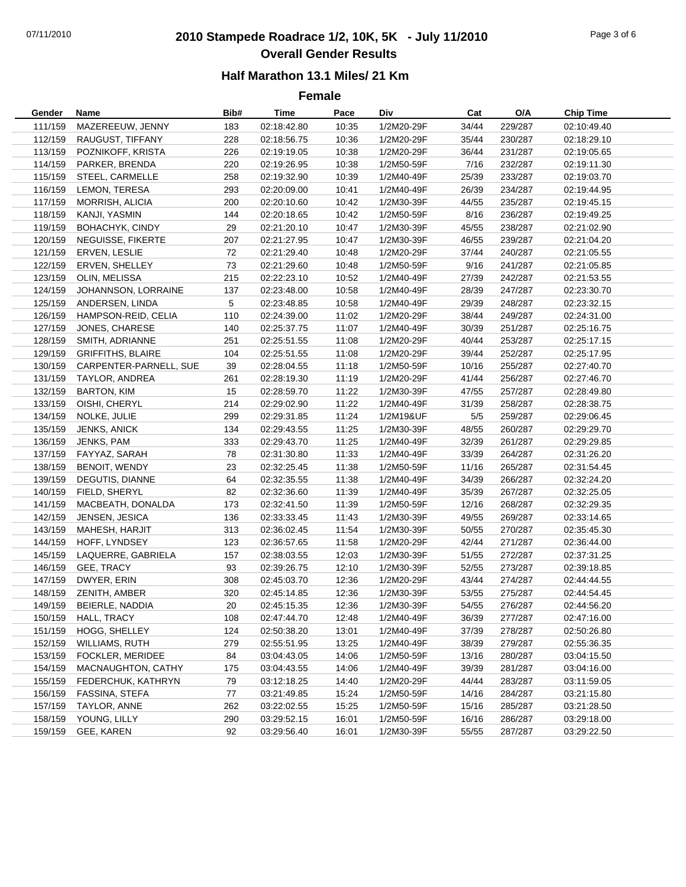# 07/11/2010 **2010 Stampede Roadrace 1/2, 10K, 5K - July 11/2010** Page 3 of 6 **Overall Gender Results**

#### **Half Marathon 13.1 Miles/ 21 Km**

**Female**

| Gender  | Name                     | Bib# | Time        | Pace  | Div        | Cat   | O/A     | <b>Chip Time</b> |
|---------|--------------------------|------|-------------|-------|------------|-------|---------|------------------|
| 111/159 | MAZEREEUW, JENNY         | 183  | 02:18:42.80 | 10:35 | 1/2M20-29F | 34/44 | 229/287 | 02:10:49.40      |
| 112/159 | RAUGUST, TIFFANY         | 228  | 02:18:56.75 | 10:36 | 1/2M20-29F | 35/44 | 230/287 | 02:18:29.10      |
| 113/159 | POZNIKOFF, KRISTA        | 226  | 02:19:19.05 | 10:38 | 1/2M20-29F | 36/44 | 231/287 | 02:19:05.65      |
| 114/159 | PARKER, BRENDA           | 220  | 02:19:26.95 | 10:38 | 1/2M50-59F | 7/16  | 232/287 | 02:19:11.30      |
| 115/159 | STEEL, CARMELLE          | 258  | 02:19:32.90 | 10:39 | 1/2M40-49F | 25/39 | 233/287 | 02:19:03.70      |
| 116/159 | LEMON, TERESA            | 293  | 02:20:09.00 | 10:41 | 1/2M40-49F | 26/39 | 234/287 | 02:19:44.95      |
| 117/159 | MORRISH, ALICIA          | 200  | 02:20:10.60 | 10:42 | 1/2M30-39F | 44/55 | 235/287 | 02:19:45.15      |
| 118/159 | KANJI, YASMIN            | 144  | 02:20:18.65 | 10:42 | 1/2M50-59F | 8/16  | 236/287 | 02:19:49.25      |
| 119/159 | BOHACHYK, CINDY          | 29   | 02:21:20.10 | 10:47 | 1/2M30-39F | 45/55 | 238/287 | 02:21:02.90      |
| 120/159 | NEGUISSE, FIKERTE        | 207  | 02:21:27.95 | 10:47 | 1/2M30-39F | 46/55 | 239/287 | 02:21:04.20      |
| 121/159 | ERVEN, LESLIE            | 72   | 02:21:29.40 | 10:48 | 1/2M20-29F | 37/44 | 240/287 | 02:21:05.55      |
| 122/159 | ERVEN, SHELLEY           | 73   | 02:21:29.60 | 10:48 | 1/2M50-59F | 9/16  | 241/287 | 02:21:05.85      |
| 123/159 | OLIN, MELISSA            | 215  | 02:22:23.10 | 10:52 | 1/2M40-49F | 27/39 | 242/287 | 02:21:53.55      |
| 124/159 | JOHANNSON, LORRAINE      | 137  | 02:23:48.00 | 10:58 | 1/2M40-49F | 28/39 | 247/287 | 02:23:30.70      |
| 125/159 | ANDERSEN, LINDA          | 5    | 02:23:48.85 | 10:58 | 1/2M40-49F | 29/39 | 248/287 | 02:23:32.15      |
| 126/159 | HAMPSON-REID, CELIA      | 110  | 02:24:39.00 | 11:02 | 1/2M20-29F | 38/44 | 249/287 | 02:24:31.00      |
| 127/159 | JONES, CHARESE           | 140  | 02:25:37.75 | 11:07 | 1/2M40-49F | 30/39 | 251/287 | 02:25:16.75      |
| 128/159 | SMITH, ADRIANNE          | 251  | 02:25:51.55 | 11:08 | 1/2M20-29F | 40/44 | 253/287 | 02:25:17.15      |
| 129/159 | <b>GRIFFITHS, BLAIRE</b> | 104  | 02:25:51.55 | 11:08 | 1/2M20-29F | 39/44 | 252/287 | 02:25:17.95      |
| 130/159 | CARPENTER-PARNELL, SUE   | 39   | 02:28:04.55 | 11:18 | 1/2M50-59F | 10/16 | 255/287 | 02:27:40.70      |
| 131/159 | TAYLOR, ANDREA           | 261  | 02:28:19.30 | 11:19 | 1/2M20-29F | 41/44 | 256/287 | 02:27:46.70      |
| 132/159 | <b>BARTON, KIM</b>       | 15   | 02:28:59.70 | 11:22 | 1/2M30-39F | 47/55 | 257/287 | 02:28:49.80      |
| 133/159 | OISHI, CHERYL            | 214  | 02:29:02.90 | 11:22 | 1/2M40-49F | 31/39 | 258/287 | 02:28:38.75      |
| 134/159 | NOLKE, JULIE             | 299  | 02:29:31.85 | 11:24 | 1/2M19&UF  | 5/5   | 259/287 | 02:29:06.45      |
| 135/159 | JENKS, ANICK             | 134  | 02:29:43.55 | 11:25 | 1/2M30-39F | 48/55 | 260/287 | 02:29:29.70      |
| 136/159 | JENKS, PAM               | 333  | 02:29:43.70 | 11:25 | 1/2M40-49F | 32/39 | 261/287 | 02:29:29.85      |
| 137/159 | FAYYAZ, SARAH            | 78   | 02:31:30.80 | 11:33 | 1/2M40-49F | 33/39 | 264/287 | 02:31:26.20      |
| 138/159 | BENOIT, WENDY            | 23   | 02:32:25.45 | 11:38 | 1/2M50-59F | 11/16 | 265/287 | 02:31:54.45      |
| 139/159 | DEGUTIS, DIANNE          | 64   | 02:32:35.55 | 11:38 | 1/2M40-49F | 34/39 | 266/287 | 02:32:24.20      |
| 140/159 | FIELD, SHERYL            | 82   | 02:32:36.60 | 11:39 | 1/2M40-49F | 35/39 | 267/287 | 02:32:25.05      |
| 141/159 | MACBEATH, DONALDA        | 173  | 02:32:41.50 | 11:39 | 1/2M50-59F | 12/16 | 268/287 | 02:32:29.35      |
| 142/159 | JENSEN, JESICA           | 136  | 02:33:33.45 | 11:43 | 1/2M30-39F | 49/55 | 269/287 | 02:33:14.65      |
| 143/159 | MAHESH, HARJIT           | 313  | 02:36:02.45 | 11:54 | 1/2M30-39F | 50/55 | 270/287 | 02:35:45.30      |
| 144/159 | HOFF, LYNDSEY            | 123  | 02:36:57.65 | 11:58 | 1/2M20-29F | 42/44 | 271/287 | 02:36:44.00      |
| 145/159 | LAQUERRE, GABRIELA       | 157  | 02:38:03.55 | 12:03 | 1/2M30-39F | 51/55 | 272/287 | 02:37:31.25      |
| 146/159 | GEE, TRACY               | 93   | 02:39:26.75 | 12:10 | 1/2M30-39F | 52/55 | 273/287 | 02:39:18.85      |
| 147/159 | DWYER, ERIN              | 308  | 02:45:03.70 | 12:36 | 1/2M20-29F | 43/44 | 274/287 | 02:44:44.55      |
| 148/159 | ZENITH, AMBER            | 320  | 02:45:14.85 | 12:36 | 1/2M30-39F | 53/55 | 275/287 | 02:44:54.45      |
| 149/159 | BEIERLE, NADDIA          | 20   | 02:45:15.35 | 12:36 | 1/2M30-39F | 54/55 | 276/287 | 02:44:56.20      |
| 150/159 | HALL, TRACY              | 108  | 02:47:44.70 | 12:48 | 1/2M40-49F | 36/39 | 277/287 | 02:47:16.00      |
| 151/159 | HOGG, SHELLEY            | 124  | 02:50:38.20 | 13:01 | 1/2M40-49F | 37/39 | 278/287 | 02:50:26.80      |
| 152/159 | WILLIAMS, RUTH           | 279  | 02:55:51.95 | 13:25 | 1/2M40-49F | 38/39 | 279/287 | 02:55:36.35      |
| 153/159 | FOCKLER, MERIDEE         | 84   | 03:04:43.05 | 14:06 | 1/2M50-59F | 13/16 | 280/287 | 03:04:15.50      |
| 154/159 | MACNAUGHTON, CATHY       | 175  | 03:04:43.55 | 14:06 | 1/2M40-49F | 39/39 | 281/287 | 03:04:16.00      |
| 155/159 | FEDERCHUK, KATHRYN       | 79   | 03:12:18.25 | 14:40 | 1/2M20-29F | 44/44 | 283/287 | 03:11:59.05      |
| 156/159 | <b>FASSINA, STEFA</b>    | 77   | 03:21:49.85 | 15:24 | 1/2M50-59F | 14/16 | 284/287 | 03:21:15.80      |
| 157/159 | TAYLOR, ANNE             | 262  | 03:22:02.55 | 15:25 | 1/2M50-59F | 15/16 | 285/287 | 03:21:28.50      |
| 158/159 | YOUNG, LILLY             | 290  | 03:29:52.15 | 16:01 | 1/2M50-59F | 16/16 | 286/287 | 03:29:18.00      |
| 159/159 | GEE, KAREN               | 92   | 03:29:56.40 | 16:01 | 1/2M30-39F | 55/55 | 287/287 | 03:29:22.50      |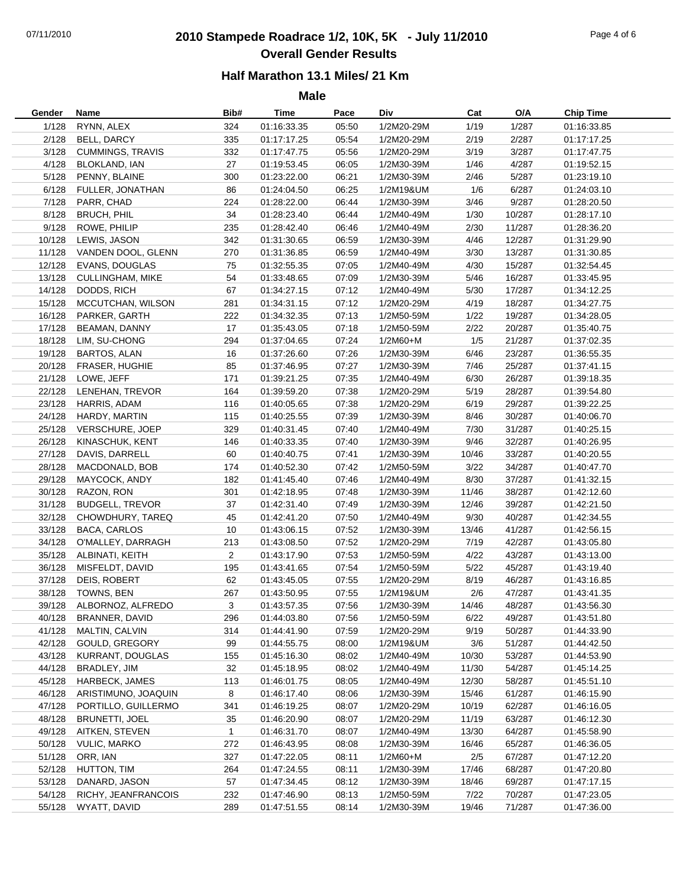## 07/11/2010 **2010 Stampede Roadrace 1/2, 10K, 5K - July 11/2010** Page 4 of 6 **Overall Gender Results**

**Male**

| Gender | Name                    | Bib#           | <b>Time</b>                | Pace           | Div                     | Cat   | O/A              | <b>Chip Time</b>           |
|--------|-------------------------|----------------|----------------------------|----------------|-------------------------|-------|------------------|----------------------------|
| 1/128  | RYNN, ALEX              | 324            | 01:16:33.35                | 05:50          | 1/2M20-29M              | 1/19  | 1/287            | 01:16:33.85                |
| 2/128  | <b>BELL, DARCY</b>      | 335            | 01:17:17.25                | 05:54          | 1/2M20-29M              | 2/19  | 2/287            | 01:17:17.25                |
| 3/128  | <b>CUMMINGS, TRAVIS</b> | 332            | 01:17:47.75                | 05:56          | 1/2M20-29M              | 3/19  | 3/287            | 01:17:47.75                |
| 4/128  | BLOKLAND, IAN           | 27             | 01:19:53.45                | 06:05          | 1/2M30-39M              | 1/46  | 4/287            | 01:19:52.15                |
| 5/128  | PENNY, BLAINE           | 300            | 01:23:22.00                | 06:21          | 1/2M30-39M              | 2/46  | 5/287            | 01:23:19.10                |
| 6/128  | FULLER, JONATHAN        | 86             | 01:24:04.50                | 06:25          | 1/2M19&UM               | 1/6   | 6/287            | 01:24:03.10                |
| 7/128  | PARR, CHAD              | 224            | 01:28:22.00                | 06:44          | 1/2M30-39M              | 3/46  | 9/287            | 01:28:20.50                |
| 8/128  | <b>BRUCH, PHIL</b>      | 34             | 01:28:23.40                | 06:44          | 1/2M40-49M              | 1/30  | 10/287           | 01:28:17.10                |
| 9/128  | ROWE, PHILIP            | 235            | 01:28:42.40                | 06:46          | 1/2M40-49M              | 2/30  | 11/287           | 01:28:36.20                |
| 10/128 | LEWIS, JASON            | 342            | 01:31:30.65                | 06:59          | 1/2M30-39M              | 4/46  | 12/287           | 01:31:29.90                |
| 11/128 | VANDEN DOOL, GLENN      | 270            | 01:31:36.85                | 06:59          | 1/2M40-49M              | 3/30  | 13/287           | 01:31:30.85                |
| 12/128 | EVANS, DOUGLAS          | 75             | 01:32:55.35                | 07:05          | 1/2M40-49M              | 4/30  | 15/287           | 01:32:54.45                |
| 13/128 | <b>CULLINGHAM, MIKE</b> | 54             | 01:33:48.65                | 07:09          | 1/2M30-39M              | 5/46  | 16/287           | 01:33:45.95                |
| 14/128 | DODDS, RICH             | 67             | 01:34:27.15                | 07:12          | 1/2M40-49M              | 5/30  | 17/287           | 01:34:12.25                |
| 15/128 | MCCUTCHAN, WILSON       | 281            | 01:34:31.15                | 07:12          | 1/2M20-29M              | 4/19  | 18/287           | 01:34:27.75                |
| 16/128 | PARKER, GARTH           | 222            | 01:34:32.35                | 07:13          | 1/2M50-59M              | 1/22  | 19/287           | 01:34:28.05                |
| 17/128 | <b>BEAMAN, DANNY</b>    | 17             | 01:35:43.05                | 07:18          | 1/2M50-59M              | 2/22  | 20/287           | 01:35:40.75                |
| 18/128 | LIM, SU-CHONG           | 294            | 01:37:04.65                | 07:24          | 1/2M60+M                | 1/5   | 21/287           | 01:37:02.35                |
| 19/128 | <b>BARTOS, ALAN</b>     | 16             | 01:37:26.60                | 07:26          | 1/2M30-39M              | 6/46  | 23/287           | 01:36:55.35                |
| 20/128 | FRASER, HUGHIE          | 85             | 01:37:46.95                | 07:27          | 1/2M30-39M              | 7/46  | 25/287           | 01:37:41.15                |
| 21/128 | LOWE, JEFF              | 171            | 01:39:21.25                | 07:35          | 1/2M40-49M              | 6/30  | 26/287           | 01:39:18.35                |
| 22/128 | LENEHAN, TREVOR         | 164            | 01:39:59.20                | 07:38          | 1/2M20-29M              | 5/19  | 28/287           | 01:39:54.80                |
| 23/128 | HARRIS, ADAM            | 116            | 01:40:05.65                | 07:38          | 1/2M20-29M              | 6/19  | 29/287           | 01:39:22.25                |
| 24/128 | HARDY, MARTIN           | 115            | 01:40:25.55                | 07:39          | 1/2M30-39M              | 8/46  | 30/287           | 01:40:06.70                |
| 25/128 | VERSCHURE, JOEP         | 329            | 01:40:31.45                | 07:40          | 1/2M40-49M              | 7/30  | 31/287           | 01:40:25.15                |
| 26/128 | KINASCHUK, KENT         | 146            | 01:40:33.35                | 07:40          | 1/2M30-39M              | 9/46  | 32/287           | 01:40:26.95                |
| 27/128 | DAVIS, DARRELL          | 60             | 01:40:40.75                | 07:41          | 1/2M30-39M              | 10/46 | 33/287           | 01:40:20.55                |
| 28/128 | MACDONALD, BOB          | 174            | 01:40:52.30                | 07:42          | 1/2M50-59M              | 3/22  | 34/287           | 01:40:47.70                |
| 29/128 | MAYCOCK, ANDY           | 182            | 01:41:45.40                | 07:46          | 1/2M40-49M              | 8/30  | 37/287           | 01:41:32.15                |
| 30/128 | RAZON, RON              | 301            | 01:42:18.95                | 07:48          | 1/2M30-39M              | 11/46 | 38/287           | 01:42:12.60                |
| 31/128 | <b>BUDGELL, TREVOR</b>  | 37             | 01:42:31.40                | 07:49          | 1/2M30-39M              | 12/46 | 39/287           | 01:42:21.50                |
| 32/128 | CHOWDHURY, TAREQ        | 45             | 01:42:41.20                | 07:50          | 1/2M40-49M              | 9/30  | 40/287           | 01:42:34.55                |
| 33/128 | <b>BACA, CARLOS</b>     | 10             | 01:43:06.15                | 07:52          | 1/2M30-39M              | 13/46 | 41/287           | 01:42:56.15                |
| 34/128 | O'MALLEY, DARRAGH       | 213            | 01:43:08.50                | 07:52          | 1/2M20-29M              | 7/19  | 42/287           | 01:43:05.80                |
| 35/128 | ALBINATI, KEITH         | $\overline{2}$ | 01:43:17.90                | 07:53          | 1/2M50-59M              | 4/22  | 43/287           | 01:43:13.00                |
| 36/128 | MISFELDT, DAVID         | 195            | 01:43:41.65                | 07:54          | 1/2M50-59M              | 5/22  | 45/287           | 01:43:19.40                |
| 37/128 | DEIS, ROBERT            | 62             | 01:43:45.05                | 07:55          | 1/2M20-29M              | 8/19  | 46/287           | 01:43:16.85                |
| 38/128 | TOWNS, BEN              | 267            | 01:43:50.95                | 07:55          | 1/2M19&UM               | 2/6   | 47/287           | 01:43:41.35                |
| 39/128 | ALBORNOZ, ALFREDO       | 3              | 01:43:57.35                | 07:56          | 1/2M30-39M              | 14/46 | 48/287           | 01:43:56.30                |
| 40/128 | BRANNER, DAVID          | 296            | 01:44:03.80                | 07:56          | 1/2M50-59M              | 6/22  | 49/287           | 01:43:51.80                |
| 41/128 | MALTIN, CALVIN          | 314            | 01:44:41.90                | 07:59          | 1/2M20-29M              | 9/19  | 50/287           | 01:44:33.90                |
| 42/128 | GOULD, GREGORY          | 99             |                            |                |                         | 3/6   | 51/287           |                            |
| 43/128 | KURRANT, DOUGLAS        |                | 01:44:55.75<br>01:45:16.30 | 08:00<br>08:02 | 1/2M19&UM<br>1/2M40-49M | 10/30 |                  | 01:44:42.50                |
| 44/128 | BRADLEY, JIM            | 155            |                            | 08:02          | 1/2M40-49M              | 11/30 | 53/287<br>54/287 | 01:44:53.90<br>01:45:14.25 |
|        | <b>HARBECK, JAMES</b>   | 32             | 01:45:18.95                |                |                         |       |                  |                            |
| 45/128 |                         | 113            | 01:46:01.75                | 08:05          | 1/2M40-49M              | 12/30 | 58/287           | 01:45:51.10                |
| 46/128 | ARISTIMUNO, JOAQUIN     | 8              | 01:46:17.40                | 08:06          | 1/2M30-39M              | 15/46 | 61/287           | 01:46:15.90                |
| 47/128 | PORTILLO, GUILLERMO     | 341            | 01:46:19.25                | 08:07          | 1/2M20-29M              | 10/19 | 62/287           | 01:46:16.05                |
| 48/128 | <b>BRUNETTI, JOEL</b>   | 35             | 01:46:20.90                | 08:07          | 1/2M20-29M              | 11/19 | 63/287           | 01:46:12.30                |
| 49/128 | AITKEN, STEVEN          | $\mathbf{1}$   | 01:46:31.70                | 08:07          | 1/2M40-49M              | 13/30 | 64/287           | 01:45:58.90                |
| 50/128 | <b>VULIC, MARKO</b>     | 272            | 01:46:43.95                | 08:08          | 1/2M30-39M              | 16/46 | 65/287           | 01:46:36.05                |
| 51/128 | ORR, IAN                | 327            | 01:47:22.05                | 08:11          | 1/2M60+M                | 2/5   | 67/287           | 01:47:12.20                |
| 52/128 | HUTTON, TIM             | 264            | 01:47:24.55                | 08:11          | 1/2M30-39M              | 17/46 | 68/287           | 01:47:20.80                |
| 53/128 | DANARD, JASON           | 57             | 01:47:34.45                | 08:12          | 1/2M30-39M              | 18/46 | 69/287           | 01:47:17.15                |
| 54/128 | RICHY, JEANFRANCOIS     | 232            | 01:47:46.90                | 08:13          | 1/2M50-59M              | 7/22  | 70/287           | 01:47:23.05                |
| 55/128 | WYATT, DAVID            | 289            | 01:47:51.55                | 08:14          | 1/2M30-39M              | 19/46 | 71/287           | 01:47:36.00                |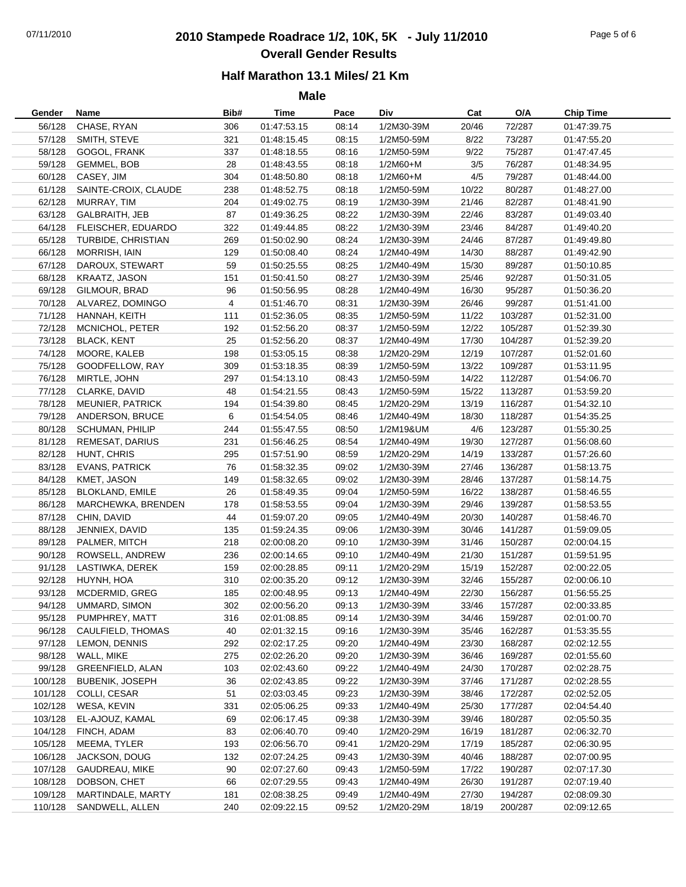## 07/11/2010 **2010 Stampede Roadrace 1/2, 10K, 5K - July 11/2010** Page 5 of 6 **Overall Gender Results**

#### **Half Marathon 13.1 Miles/ 21 Km**

**Male**

| Gender  | Name                    | Bib#           | Time        | Pace  | Div          | Cat   | O/A     | <b>Chip Time</b> |
|---------|-------------------------|----------------|-------------|-------|--------------|-------|---------|------------------|
| 56/128  | CHASE, RYAN             | 306            | 01:47:53.15 | 08:14 | 1/2M30-39M   | 20/46 | 72/287  | 01:47:39.75      |
| 57/128  | SMITH, STEVE            | 321            | 01:48:15.45 | 08:15 | 1/2M50-59M   | 8/22  | 73/287  | 01:47:55.20      |
| 58/128  | GOGOL, FRANK            | 337            | 01:48:18.55 | 08:16 | 1/2M50-59M   | 9/22  | 75/287  | 01:47:47.45      |
| 59/128  | GEMMEL, BOB             | 28             | 01:48:43.55 | 08:18 | $1/2M60 + M$ | 3/5   | 76/287  | 01:48:34.95      |
| 60/128  | CASEY, JIM              | 304            | 01:48:50.80 | 08:18 | 1/2M60+M     | 4/5   | 79/287  | 01:48:44.00      |
| 61/128  | SAINTE-CROIX, CLAUDE    | 238            | 01:48:52.75 | 08:18 | 1/2M50-59M   | 10/22 | 80/287  | 01:48:27.00      |
| 62/128  | MURRAY, TIM             | 204            | 01:49:02.75 | 08:19 | 1/2M30-39M   | 21/46 | 82/287  | 01:48:41.90      |
| 63/128  | <b>GALBRAITH, JEB</b>   | 87             | 01:49:36.25 | 08:22 | 1/2M30-39M   | 22/46 | 83/287  | 01:49:03.40      |
| 64/128  | FLEISCHER, EDUARDO      | 322            | 01:49:44.85 | 08:22 | 1/2M30-39M   | 23/46 | 84/287  | 01:49:40.20      |
| 65/128  |                         | 269            |             | 08:24 | 1/2M30-39M   | 24/46 | 87/287  | 01:49:49.80      |
|         | TURBIDE, CHRISTIAN      |                | 01:50:02.90 |       |              |       |         |                  |
| 66/128  | MORRISH, IAIN           | 129            | 01:50:08.40 | 08:24 | 1/2M40-49M   | 14/30 | 88/287  | 01:49:42.90      |
| 67/128  | DAROUX, STEWART         | 59             | 01:50:25.55 | 08:25 | 1/2M40-49M   | 15/30 | 89/287  | 01:50:10.85      |
| 68/128  | KRAATZ, JASON           | 151            | 01:50:41.50 | 08:27 | 1/2M30-39M   | 25/46 | 92/287  | 01:50:31.05      |
| 69/128  | GILMOUR, BRAD           | 96             | 01:50:56.95 | 08:28 | 1/2M40-49M   | 16/30 | 95/287  | 01:50:36.20      |
|         | 70/128 ALVAREZ, DOMINGO | $\overline{4}$ | 01:51:46.70 | 08:31 | 1/2M30-39M   | 26/46 | 99/287  | 01:51:41.00      |
| 71/128  | HANNAH, KEITH           | 111            | 01:52:36.05 | 08:35 | 1/2M50-59M   | 11/22 | 103/287 | 01:52:31.00      |
| 72/128  | MCNICHOL, PETER         | 192            | 01:52:56.20 | 08:37 | 1/2M50-59M   | 12/22 | 105/287 | 01:52:39.30      |
| 73/128  | <b>BLACK, KENT</b>      | 25             | 01:52:56.20 | 08:37 | 1/2M40-49M   | 17/30 | 104/287 | 01:52:39.20      |
| 74/128  | MOORE, KALEB            | 198            | 01:53:05.15 | 08:38 | 1/2M20-29M   | 12/19 | 107/287 | 01:52:01.60      |
| 75/128  | GOODFELLOW, RAY         | 309            | 01:53:18.35 | 08:39 | 1/2M50-59M   | 13/22 | 109/287 | 01:53:11.95      |
| 76/128  | MIRTLE, JOHN            | 297            | 01:54:13.10 | 08:43 | 1/2M50-59M   | 14/22 | 112/287 | 01:54:06.70      |
| 77/128  | CLARKE, DAVID           | 48             | 01:54:21.55 | 08:43 | 1/2M50-59M   | 15/22 | 113/287 | 01:53:59.20      |
| 78/128  | <b>MEUNIER, PATRICK</b> | 194            | 01:54:39.80 | 08:45 | 1/2M20-29M   | 13/19 | 116/287 | 01:54:32.10      |
| 79/128  | ANDERSON, BRUCE         | 6              | 01:54:54.05 | 08:46 | 1/2M40-49M   | 18/30 | 118/287 | 01:54:35.25      |
| 80/128  | SCHUMAN, PHILIP         | 244            | 01:55:47.55 | 08:50 | 1/2M19&UM    | 4/6   | 123/287 | 01:55:30.25      |
| 81/128  | REMESAT, DARIUS         | 231            | 01:56:46.25 | 08:54 | 1/2M40-49M   | 19/30 | 127/287 | 01:56:08.60      |
| 82/128  | HUNT, CHRIS             | 295            | 01:57:51.90 | 08:59 | 1/2M20-29M   | 14/19 | 133/287 | 01:57:26.60      |
| 83/128  | <b>EVANS, PATRICK</b>   | 76             | 01:58:32.35 | 09:02 | 1/2M30-39M   | 27/46 | 136/287 | 01:58:13.75      |
| 84/128  | KMET, JASON             | 149            | 01:58:32.65 | 09:02 | 1/2M30-39M   | 28/46 | 137/287 | 01:58:14.75      |
| 85/128  | <b>BLOKLAND, EMILE</b>  | 26             | 01:58:49.35 | 09:04 | 1/2M50-59M   | 16/22 | 138/287 | 01:58:46.55      |
| 86/128  | MARCHEWKA, BRENDEN      | 178            | 01:58:53.55 | 09:04 | 1/2M30-39M   | 29/46 | 139/287 | 01:58:53.55      |
| 87/128  | CHIN, DAVID             | 44             | 01:59:07.20 | 09:05 | 1/2M40-49M   | 20/30 | 140/287 | 01:58:46.70      |
| 88/128  | JENNIEX, DAVID          | 135            | 01:59:24.35 | 09:06 | 1/2M30-39M   | 30/46 | 141/287 | 01:59:09.05      |
| 89/128  | PALMER, MITCH           | 218            | 02:00:08.20 | 09:10 | 1/2M30-39M   | 31/46 | 150/287 | 02:00:04.15      |
| 90/128  | ROWSELL, ANDREW         | 236            | 02:00:14.65 | 09:10 | 1/2M40-49M   | 21/30 | 151/287 | 01:59:51.95      |
| 91/128  | LASTIWKA, DEREK         | 159            | 02:00:28.85 | 09:11 | 1/2M20-29M   | 15/19 | 152/287 | 02:00:22.05      |
| 92/128  | HUYNH, HOA              | 310            | 02:00:35.20 | 09:12 | 1/2M30-39M   | 32/46 | 155/287 | 02:00:06.10      |
| 93/128  | MCDERMID, GREG          | 185            | 02:00:48.95 | 09:13 | 1/2M40-49M   | 22/30 | 156/287 | 01:56:55.25      |
|         | 94/128 UMMARD, SIMON    | 302            | 02:00:56.20 | 09:13 | 1/2M30-39M   | 33/46 | 157/287 | 02:00:33.85      |
|         | PUMPHREY, MATT          |                |             | 09:14 |              | 34/46 |         | 02:01:00.70      |
| 95/128  |                         | 316            | 02:01:08.85 |       | 1/2M30-39M   |       | 159/287 |                  |
| 96/128  | CAULFIELD, THOMAS       | 40             | 02:01:32.15 | 09:16 | 1/2M30-39M   | 35/46 | 162/287 | 01:53:35.55      |
| 97/128  | LEMON, DENNIS           | 292            | 02:02:17.25 | 09:20 | 1/2M40-49M   | 23/30 | 168/287 | 02:02:12.55      |
| 98/128  | WALL, MIKE              | 275            | 02:02:26.20 | 09:20 | 1/2M30-39M   | 36/46 | 169/287 | 02:01:55.60      |
| 99/128  | <b>GREENFIELD, ALAN</b> | 103            | 02:02:43.60 | 09:22 | 1/2M40-49M   | 24/30 | 170/287 | 02:02:28.75      |
| 100/128 | <b>BUBENIK, JOSEPH</b>  | 36             | 02:02:43.85 | 09:22 | 1/2M30-39M   | 37/46 | 171/287 | 02:02:28.55      |
| 101/128 | COLLI, CESAR            | 51             | 02:03:03.45 | 09:23 | 1/2M30-39M   | 38/46 | 172/287 | 02:02:52.05      |
| 102/128 | WESA, KEVIN             | 331            | 02:05:06.25 | 09:33 | 1/2M40-49M   | 25/30 | 177/287 | 02:04:54.40      |
| 103/128 | EL-AJOUZ, KAMAL         | 69             | 02:06:17.45 | 09:38 | 1/2M30-39M   | 39/46 | 180/287 | 02:05:50.35      |
| 104/128 | FINCH, ADAM             | 83             | 02:06:40.70 | 09:40 | 1/2M20-29M   | 16/19 | 181/287 | 02:06:32.70      |
| 105/128 | MEEMA, TYLER            | 193            | 02:06:56.70 | 09:41 | 1/2M20-29M   | 17/19 | 185/287 | 02:06:30.95      |
| 106/128 | JACKSON, DOUG           | 132            | 02:07:24.25 | 09:43 | 1/2M30-39M   | 40/46 | 188/287 | 02:07:00.95      |
| 107/128 | GAUDREAU, MIKE          | 90             | 02:07:27.60 | 09:43 | 1/2M50-59M   | 17/22 | 190/287 | 02:07:17.30      |
| 108/128 | DOBSON, CHET            | 66             | 02:07:29.55 | 09:43 | 1/2M40-49M   | 26/30 | 191/287 | 02:07:19.40      |
| 109/128 | MARTINDALE, MARTY       | 181            | 02:08:38.25 | 09:49 | 1/2M40-49M   | 27/30 | 194/287 | 02:08:09.30      |
| 110/128 | SANDWELL, ALLEN         | 240            | 02:09:22.15 | 09:52 | 1/2M20-29M   | 18/19 | 200/287 | 02:09:12.65      |